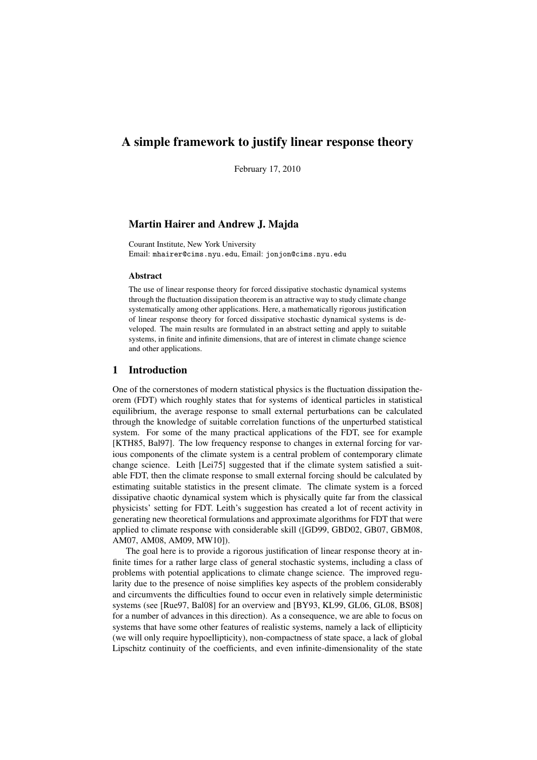# A simple framework to justify linear response theory

February 17, 2010

## Martin Hairer and Andrew J. Majda

Courant Institute, New York University Email: mhairer@cims.nyu.edu, Email: jonjon@cims.nyu.edu

### **Abstract**

The use of linear response theory for forced dissipative stochastic dynamical systems through the fluctuation dissipation theorem is an attractive way to study climate change systematically among other applications. Here, a mathematically rigorous justification of linear response theory for forced dissipative stochastic dynamical systems is developed. The main results are formulated in an abstract setting and apply to suitable systems, in finite and infinite dimensions, that are of interest in climate change science and other applications.

## 1 Introduction

One of the cornerstones of modern statistical physics is the fluctuation dissipation theorem (FDT) which roughly states that for systems of identical particles in statistical equilibrium, the average response to small external perturbations can be calculated through the knowledge of suitable correlation functions of the unperturbed statistical system. For some of the many practical applications of the FDT, see for example [KTH85, Bal97]. The low frequency response to changes in external forcing for various components of the climate system is a central problem of contemporary climate change science. Leith [Lei75] suggested that if the climate system satisfied a suitable FDT, then the climate response to small external forcing should be calculated by estimating suitable statistics in the present climate. The climate system is a forced dissipative chaotic dynamical system which is physically quite far from the classical physicists' setting for FDT. Leith's suggestion has created a lot of recent activity in generating new theoretical formulations and approximate algorithms for FDT that were applied to climate response with considerable skill ([GD99, GBD02, GB07, GBM08, AM07, AM08, AM09, MW10]).

The goal here is to provide a rigorous justification of linear response theory at infinite times for a rather large class of general stochastic systems, including a class of problems with potential applications to climate change science. The improved regularity due to the presence of noise simplifies key aspects of the problem considerably and circumvents the difficulties found to occur even in relatively simple deterministic systems (see [Rue97, Bal08] for an overview and [BY93, KL99, GL06, GL08, BS08] for a number of advances in this direction). As a consequence, we are able to focus on systems that have some other features of realistic systems, namely a lack of ellipticity (we will only require hypoellipticity), non-compactness of state space, a lack of global Lipschitz continuity of the coefficients, and even infinite-dimensionality of the state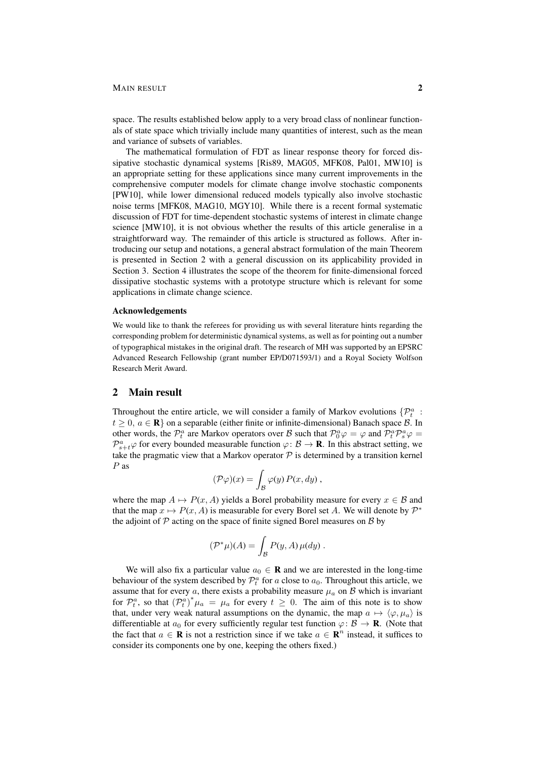## MAIN RESULT 2

space. The results established below apply to a very broad class of nonlinear functionals of state space which trivially include many quantities of interest, such as the mean and variance of subsets of variables.

The mathematical formulation of FDT as linear response theory for forced dissipative stochastic dynamical systems [Ris89, MAG05, MFK08, Pal01, MW10] is an appropriate setting for these applications since many current improvements in the comprehensive computer models for climate change involve stochastic components [PW10], while lower dimensional reduced models typically also involve stochastic noise terms [MFK08, MAG10, MGY10]. While there is a recent formal systematic discussion of FDT for time-dependent stochastic systems of interest in climate change science [MW10], it is not obvious whether the results of this article generalise in a straightforward way. The remainder of this article is structured as follows. After introducing our setup and notations, a general abstract formulation of the main Theorem is presented in Section 2 with a general discussion on its applicability provided in Section 3. Section 4 illustrates the scope of the theorem for finite-dimensional forced dissipative stochastic systems with a prototype structure which is relevant for some applications in climate change science.

## Acknowledgements

We would like to thank the referees for providing us with several literature hints regarding the corresponding problem for deterministic dynamical systems, as well as for pointing out a number of typographical mistakes in the original draft. The research of MH was supported by an EPSRC Advanced Research Fellowship (grant number EP/D071593/1) and a Royal Society Wolfson Research Merit Award.

## 2 Main result

Throughout the entire article, we will consider a family of Markov evolutions  $\{P_t^a$ :  $t \geq 0$ ,  $a \in \mathbb{R}$  on a separable (either finite or infinite-dimensional) Banach space  $\mathcal{B}$ . In other words, the  $\mathcal{P}_t^a$  are Markov operators over B such that  $\mathcal{P}_0^a\varphi = \varphi$  and  $\mathcal{P}_t^a\mathcal{P}_s^a\varphi = \varphi$  $\mathcal{P}_{s+t}^a\varphi$  for every bounded measurable function  $\varphi: \mathcal{B} \to \mathbf{R}$ . In this abstract setting, we take the pragmatic view that a Markov operator  $P$  is determined by a transition kernel P as

$$
(\mathcal{P}\varphi)(x) = \int_{\mathcal{B}} \varphi(y) P(x, dy) ,
$$

where the map  $A \mapsto P(x, A)$  yields a Borel probability measure for every  $x \in B$  and that the map  $x \mapsto P(x, A)$  is measurable for every Borel set A. We will denote by  $\mathcal{P}^*$ the adjoint of  $P$  acting on the space of finite signed Borel measures on  $B$  by

$$
(\mathcal{P}^*\mu)(A) = \int_{\mathcal{B}} P(y, A) \,\mu(dy) \,.
$$

We will also fix a particular value  $a_0 \in \mathbf{R}$  and we are interested in the long-time behaviour of the system described by  $\mathcal{P}_t^a$  for a close to  $a_0$ . Throughout this article, we assume that for every  $a$ , there exists a probability measure  $\mu_a$  on  $\beta$  which is invariant for  $\mathcal{P}_t^a$ , so that  $(\mathcal{P}_t^a)^* \mu_a = \mu_a$  for every  $t \geq 0$ . The aim of this note is to show that, under very weak natural assumptions on the dynamic, the map  $a \mapsto \langle \varphi, \mu_a \rangle$  is differentiable at  $a_0$  for every sufficiently regular test function  $\varphi: \mathcal{B} \to \mathbf{R}$ . (Note that the fact that  $a \in \mathbf{R}$  is not a restriction since if we take  $a \in \mathbf{R}^n$  instead, it suffices to consider its components one by one, keeping the others fixed.)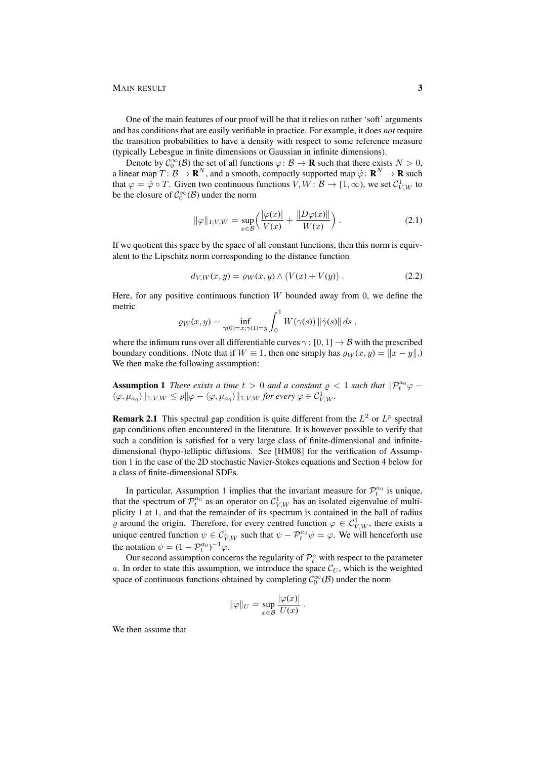### MAIN RESULT 3

One of the main features of our proof will be that it relies on rather 'soft' arguments and has conditions that are easily verifiable in practice. For example, it does *not* require the transition probabilities to have a density with respect to some reference measure (typically Lebesgue in finite dimensions or Gaussian in infinite dimensions).

Denote by  $\mathcal{C}_0^{\infty}(\mathcal{B})$  the set of all functions  $\varphi: \mathcal{B} \to \mathbf{R}$  such that there exists  $N > 0$ , a linear map  $T: \mathcal{B} \to \mathbf{R}^N$ , and a smooth, compactly supported map  $\hat{\varphi} \colon \mathbf{R}^N \to \mathbf{R}$  such that  $\varphi = \hat{\varphi} \circ T$ . Given two continuous functions  $V, W \colon \mathcal{B} \to [1, \infty)$ , we set  $\mathcal{C}_{V, W}^1$  to be the closure of  $C_0^{\infty}(\mathcal{B})$  under the norm

$$
\|\varphi\|_{1;V,W} = \sup_{x \in \mathcal{B}} \left( \frac{|\varphi(x)|}{V(x)} + \frac{\|D\varphi(x)\|}{W(x)} \right).
$$
 (2.1)

If we quotient this space by the space of all constant functions, then this norm is equivalent to the Lipschitz norm corresponding to the distance function

$$
d_{V,W}(x, y) = \varrho_W(x, y) \wedge (V(x) + V(y)). \tag{2.2}
$$

Here, for any positive continuous function  $W$  bounded away from 0, we define the metric

$$
\varrho_W(x,y) = \inf_{\gamma(0)=x;\gamma(1)=y} \int_0^1 W(\gamma(s)) \left\|\dot{\gamma}(s)\right\| ds,
$$

where the infimum runs over all differentiable curves  $\gamma: [0, 1] \to \mathcal{B}$  with the prescribed boundary conditions. (Note that if  $W \equiv 1$ , then one simply has  $\rho_W(x, y) = ||x - y||$ .) We then make the following assumption:

**Assumption 1** *There exists a time*  $t > 0$  *and a constant*  $\varrho < 1$  *such that*  $\|P_t^{a_0}\varphi \langle \varphi, \mu_{a_0} \rangle \|_{1;V,W} \leq \varrho \| \varphi - \langle \varphi, \mu_{a_0} \rangle \|_{1;V,W}$  for every  $\varphi \in C^1_{V,W}$ .

**Remark 2.1** This spectral gap condition is quite different from the  $L^2$  or  $L^p$  spectral gap conditions often encountered in the literature. It is however possible to verify that such a condition is satisfied for a very large class of finite-dimensional and infinitedimensional (hypo-)elliptic diffusions. See [HM08] for the verification of Assumption 1 in the case of the 2D stochastic Navier-Stokes equations and Section 4 below for a class of finite-dimensional SDEs.

In particular, Assumption 1 implies that the invariant measure for  $\mathcal{P}_t^{a_0}$  is unique, that the spectrum of  $\mathcal{P}_t^{a_0}$  as an operator on  $\mathcal{C}_{V,W}^1$  has an isolated eigenvalue of multiplicity 1 at 1, and that the remainder of its spectrum is contained in the ball of radius  $\varrho$  around the origin. Therefore, for every centred function  $\varphi \in C^1_{V,W}$ , there exists a unique centred function  $\psi \in C^1_{V,W}$  such that  $\psi - \mathcal{P}_t^{a_0} \psi = \varphi$ . We will henceforth use the notation  $\psi = (1 - \mathcal{P}_t^{a_0})^{-1} \varphi$ .

Our second assumption concerns the regularity of  $\mathcal{P}_t^a$  with respect to the parameter a. In order to state this assumption, we introduce the space  $\mathcal{C}_U$ , which is the weighted space of continuous functions obtained by completing  $C_0^{\infty}(\mathcal{B})$  under the norm

$$
\|\varphi\|_U = \sup_{x \in \mathcal{B}} \frac{|\varphi(x)|}{U(x)}.
$$

We then assume that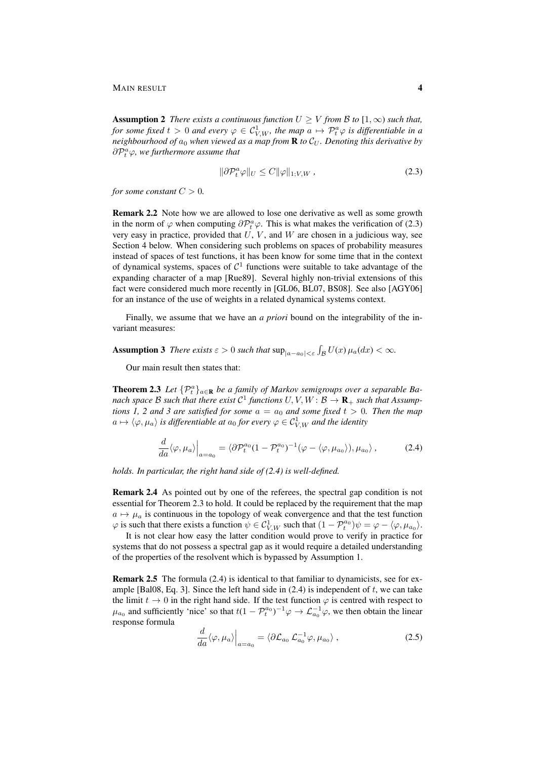**Assumption 2** *There exists a continuous function*  $U \geq V$  *from*  $B$  *to*  $[1, \infty)$  *such that, for some fixed t*  $> 0$  *and every*  $\varphi \in C^1_{V,W}$ *, the map*  $a \mapsto \mathcal{P}_t^a \varphi$  *is differentiable in a neighbourhood of*  $a_0$  *when viewed as a map from* **R** *to*  $C_U$ *. Denoting this derivative by*  $\partial \mathcal{P}^a_t \varphi$ , we furthermore assume that

$$
\|\partial \mathcal{P}_t^a \varphi\|_U \le C \|\varphi\|_{1;V,W},\tag{2.3}
$$

*for some constant*  $C > 0$ *.* 

**Remark 2.2** Note how we are allowed to lose one derivative as well as some growth in the norm of  $\varphi$  when computing  $\partial \mathcal{P}_t^a \varphi$ . This is what makes the verification of (2.3) very easy in practice, provided that  $U, V$ , and  $W$  are chosen in a judicious way, see Section 4 below. When considering such problems on spaces of probability measures instead of spaces of test functions, it has been know for some time that in the context of dynamical systems, spaces of  $C<sup>1</sup>$  functions were suitable to take advantage of the expanding character of a map [Rue89]. Several highly non-trivial extensions of this fact were considered much more recently in [GL06, BL07, BS08]. See also [AGY06] for an instance of the use of weights in a related dynamical systems context.

Finally, we assume that we have an *a priori* bound on the integrability of the invariant measures:

Assumption 3 *There exists*  $\varepsilon > 0$  *such that*  $\sup_{|a-a_0|<\varepsilon} \int_{\mathcal{B}} U(x) \mu_a(dx) < \infty$ .

Our main result then states that:

**Theorem 2.3** Let  $\{\mathcal{P}_t^a\}_{a \in \mathbf{R}}$  be a family of Markov semigroups over a separable Banach space  ${\cal B}$  such that there exist  ${\cal C}^1$  functions  $U,V,W\colon{\cal B}\to{\bf R}_+$  such that Assump*tions 1, 2 and 3 are satisfied for some*  $a = a_0$  *and some fixed*  $t > 0$ *. Then the map*  $a \mapsto \langle \varphi, \mu_a \rangle$  is differentiable at  $a_0$  for every  $\varphi \in \mathcal{C}^1_{V,W}$  and the identity

$$
\frac{d}{da}\langle \varphi, \mu_a \rangle\Big|_{a=a_0} = \langle \partial \mathcal{P}_t^{a_0} (1 - \mathcal{P}_t^{a_0})^{-1} (\varphi - \langle \varphi, \mu_{a_0} \rangle), \mu_{a_0} \rangle, \tag{2.4}
$$

*holds. In particular, the right hand side of (2.4) is well-defined.*

Remark 2.4 As pointed out by one of the referees, the spectral gap condition is not essential for Theorem 2.3 to hold. It could be replaced by the requirement that the map  $a \mapsto \mu_a$  is continuous in the topology of weak convergence and that the test function  $\varphi$  is such that there exists a function  $\psi \in C^1_{V,W}$  such that  $(1 - \mathcal{P}_t^{a_0})\psi = \varphi - \langle \varphi, \mu_{a_0} \rangle$ .

It is not clear how easy the latter condition would prove to verify in practice for systems that do not possess a spectral gap as it would require a detailed understanding of the properties of the resolvent which is bypassed by Assumption 1.

**Remark 2.5** The formula (2.4) is identical to that familiar to dynamicists, see for example [Bal08, Eq. 3]. Since the left hand side in  $(2.4)$  is independent of t, we can take the limit  $t \to 0$  in the right hand side. If the test function  $\varphi$  is centred with respect to  $\mu_{a_0}$  and sufficiently 'nice' so that  $t(1 - \mathcal{P}_t^{a_0})^{-1}\varphi \to \mathcal{L}_{a_0}^{-1}\varphi$ , we then obtain the linear response formula

$$
\frac{d}{da}\langle \varphi, \mu_a \rangle\Big|_{a=a_0} = \langle \partial \mathcal{L}_{a_0} \mathcal{L}_{a_0}^{-1} \varphi, \mu_{a_0} \rangle , \qquad (2.5)
$$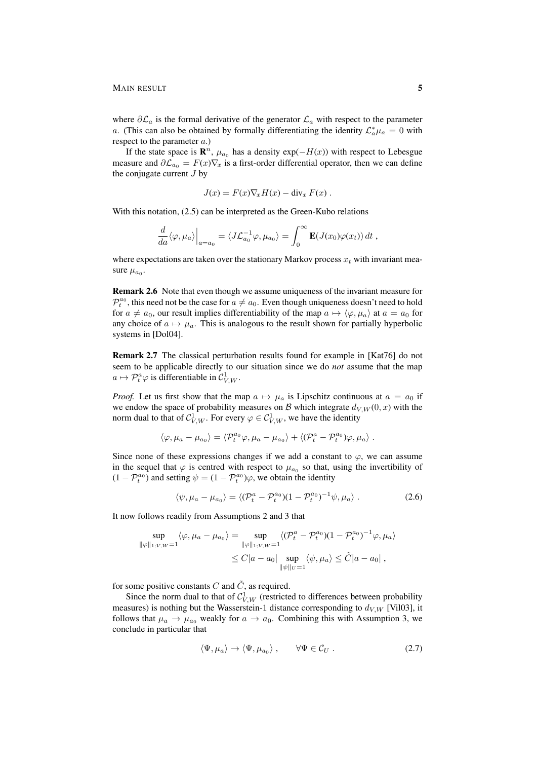### MAIN RESULT 5

where  $\partial \mathcal{L}_a$  is the formal derivative of the generator  $\mathcal{L}_a$  with respect to the parameter a. (This can also be obtained by formally differentiating the identity  $\mathcal{L}_a^* \mu_a = 0$  with respect to the parameter a.)

If the state space is  $\mathbb{R}^n$ ,  $\mu_{a_0}$  has a density  $\exp(-H(x))$  with respect to Lebesgue measure and  $\partial \mathcal{L}_{a_0} = F(x) \nabla_x$  is a first-order differential operator, then we can define the conjugate current  $J$  by

$$
J(x) = F(x)\nabla_x H(x) - \text{div}_x F(x) .
$$

With this notation, (2.5) can be interpreted as the Green-Kubo relations

$$
\frac{d}{da}\langle \varphi, \mu_a \rangle\Big|_{a=a_0} = \langle J\mathcal{L}_{a_0}^{-1}\varphi, \mu_{a_0} \rangle = \int_0^\infty \mathbf{E}(J(x_0)\varphi(x_t)) dt,
$$

where expectations are taken over the stationary Markov process  $x_t$  with invariant measure  $\mu_{a_0}$ .

Remark 2.6 Note that even though we assume uniqueness of the invariant measure for  $\mathcal{P}_t^{a_0}$ , this need not be the case for  $a\neq a_0$ . Even though uniqueness doesn't need to hold for  $a \neq a_0$ , our result implies differentiability of the map  $a \mapsto \langle \varphi, \mu_a \rangle$  at  $a = a_0$  for any choice of  $a \mapsto \mu_a$ . This is analogous to the result shown for partially hyperbolic systems in [Dol04].

Remark 2.7 The classical perturbation results found for example in [Kat76] do not seem to be applicable directly to our situation since we do *not* assume that the map  $a \mapsto \mathcal{P}_t^a \varphi$  is differentiable in  $\mathcal{C}_{V,W}^1$ .

*Proof.* Let us first show that the map  $a \mapsto \mu_a$  is Lipschitz continuous at  $a = a_0$  if we endow the space of probability measures on B which integrate  $d_{V,W}(0, x)$  with the norm dual to that of  $C^1_{V,W}$ . For every  $\varphi \in C^1_{V,W}$ , we have the identity

$$
\langle \varphi, \mu_a - \mu_{a_0} \rangle = \langle \mathcal{P}_t^{a_0} \varphi, \mu_a - \mu_{a_0} \rangle + \langle (\mathcal{P}_t^a - \mathcal{P}_t^{a_0}) \varphi, \mu_a \rangle.
$$

Since none of these expressions changes if we add a constant to  $\varphi$ , we can assume in the sequel that  $\varphi$  is centred with respect to  $\mu_{a_0}$  so that, using the invertibility of  $(1 - \mathcal{P}_t^{a_0})$  and setting  $\psi = (1 - \mathcal{P}_t^{a_0})\varphi$ , we obtain the identity

$$
\langle \psi, \mu_a - \mu_{a_0} \rangle = \langle (\mathcal{P}_t^a - \mathcal{P}_t^{a_0})(1 - \mathcal{P}_t^{a_0})^{-1} \psi, \mu_a \rangle. \tag{2.6}
$$

It now follows readily from Assumptions 2 and 3 that

$$
\sup_{\|\varphi\|_{1;V,W}=1} \langle \varphi, \mu_a - \mu_{a_0} \rangle = \sup_{\|\varphi\|_{1;V,W}=1} \langle (\mathcal{P}_t^a - \mathcal{P}_t^{a_0})(1 - \mathcal{P}_t^{a_0})^{-1} \varphi, \mu_a \rangle
$$
  

$$
\leq C|a - a_0| \sup_{\|\psi\|_{U}=1} \langle \psi, \mu_a \rangle \leq \tilde{C}|a - a_0|,
$$

for some positive constants  $C$  and  $\tilde{C}$ , as required.

Since the norm dual to that of  $\mathcal{C}_{V,W}^1$  (restricted to differences between probability measures) is nothing but the Wasserstein-1 distance corresponding to  $d_{V,W}$  [Vil03], it follows that  $\mu_a \to \mu_{a_0}$  weakly for  $a \to a_0$ . Combining this with Assumption 3, we conclude in particular that

$$
\langle \Psi, \mu_a \rangle \to \langle \Psi, \mu_{a_0} \rangle \,, \qquad \forall \Psi \in \mathcal{C}_U \,. \tag{2.7}
$$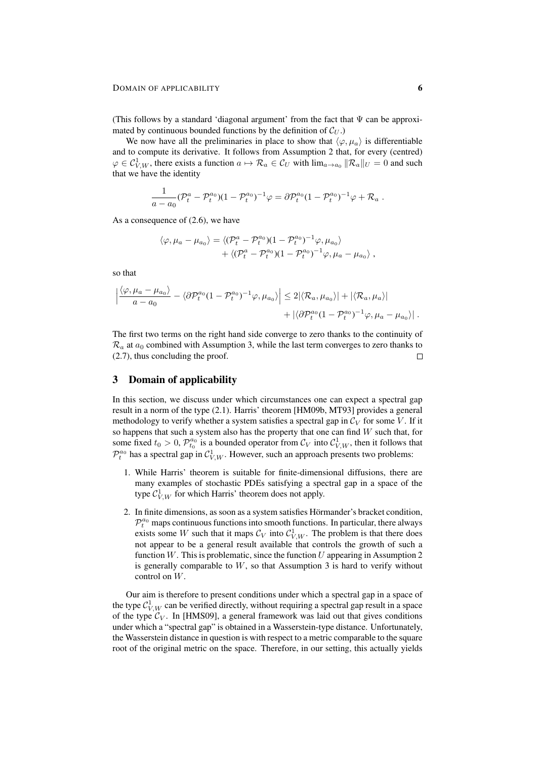(This follows by a standard 'diagonal argument' from the fact that  $\Psi$  can be approximated by continuous bounded functions by the definition of  $\mathcal{C}_U$ .)

We now have all the preliminaries in place to show that  $\langle \varphi, \mu_a \rangle$  is differentiable and to compute its derivative. It follows from Assumption 2 that, for every (centred)  $\varphi \in \mathcal{C}_{V,W}^1$ , there exists a function  $a \mapsto \mathcal{R}_a \in \mathcal{C}_U$  with  $\lim_{a \to a_0} ||\mathcal{R}_a||_U = 0$  and such that we have the identity

$$
\frac{1}{a-a_0}(\mathcal{P}_t^a-\mathcal{P}_t^{a_0})(1-\mathcal{P}_t^{a_0})^{-1}\varphi=\partial \mathcal{P}_t^{a_0}(1-\mathcal{P}_t^{a_0})^{-1}\varphi+\mathcal{R}_a.
$$

As a consequence of (2.6), we have

$$
\langle \varphi, \mu_a - \mu_{a_0} \rangle = \langle (\mathcal{P}_t^a - \mathcal{P}_t^{a_0})(1 - \mathcal{P}_t^{a_0})^{-1} \varphi, \mu_{a_0} \rangle
$$
  
+ \langle (\mathcal{P}\_t^a - \mathcal{P}\_t^{a\_0})(1 - \mathcal{P}\_t^{a\_0})^{-1} \varphi, \mu\_a - \mu\_{a\_0} \rangle,

so that

$$
\left| \frac{\langle \varphi, \mu_a - \mu_{a_0} \rangle}{a - a_0} - \langle \partial \mathcal{P}_t^{a_0} (1 - \mathcal{P}_t^{a_0})^{-1} \varphi, \mu_{a_0} \rangle \right| \leq 2 | \langle \mathcal{R}_a, \mu_{a_0} \rangle | + | \langle \mathcal{R}_a, \mu_a \rangle |
$$
  
+ 
$$
| \langle \partial \mathcal{P}_t^{a_0} (1 - \mathcal{P}_t^{a_0})^{-1} \varphi, \mu_a - \mu_{a_0} \rangle |.
$$

The first two terms on the right hand side converge to zero thanks to the continuity of  $\mathcal{R}_a$  at  $a_0$  combined with Assumption 3, while the last term converges to zero thanks to (2.7), thus concluding the proof.  $\Box$ 

## 3 Domain of applicability

In this section, we discuss under which circumstances one can expect a spectral gap result in a norm of the type (2.1). Harris' theorem [HM09b, MT93] provides a general methodology to verify whether a system satisfies a spectral gap in  $\mathcal{C}_V$  for some V. If it so happens that such a system also has the property that one can find  $W$  such that, for some fixed  $t_0 > 0$ ,  $\mathcal{P}_{t_0}^{a_0}$  is a bounded operator from  $\mathcal{C}_V$  into  $\mathcal{C}_{V,W}^1$ , then it follows that  $\mathcal{P}_t^{a_0}$  has a spectral gap in  $\mathcal{C}_{V,W}^1$ . However, such an approach presents two problems:

- 1. While Harris' theorem is suitable for finite-dimensional diffusions, there are many examples of stochastic PDEs satisfying a spectral gap in a space of the type  $\mathcal{C}_{V,W}^1$  for which Harris' theorem does not apply.
- 2. In finite dimensions, as soon as a system satisfies Hörmander's bracket condition,  $\mathcal{P}_t^{a_0}$  maps continuous functions into smooth functions. In particular, there always exists some W such that it maps  $\mathcal{C}_V$  into  $\mathcal{C}_{V,W}^1$ . The problem is that there does not appear to be a general result available that controls the growth of such a function W. This is problematic, since the function  $U$  appearing in Assumption 2 is generally comparable to  $W$ , so that Assumption 3 is hard to verify without control on W.

Our aim is therefore to present conditions under which a spectral gap in a space of the type  $\mathcal{C}_{V,W}^1$  can be verified directly, without requiring a spectral gap result in a space of the type  $C_V$ . In [HMS09], a general framework was laid out that gives conditions under which a "spectral gap" is obtained in a Wasserstein-type distance. Unfortunately, the Wasserstein distance in question is with respect to a metric comparable to the square root of the original metric on the space. Therefore, in our setting, this actually yields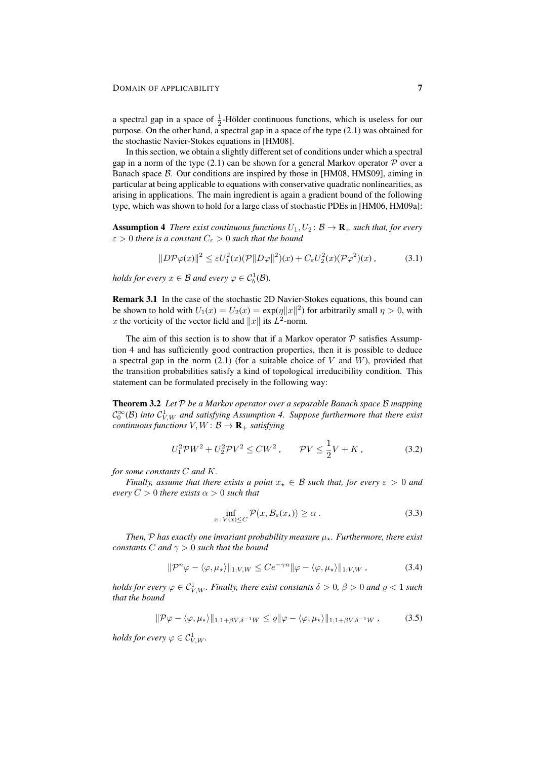a spectral gap in a space of  $\frac{1}{2}$ -Hölder continuous functions, which is useless for our purpose. On the other hand, a spectral gap in a space of the type (2.1) was obtained for the stochastic Navier-Stokes equations in [HM08].

In this section, we obtain a slightly different set of conditions under which a spectral gap in a norm of the type  $(2.1)$  can be shown for a general Markov operator  $P$  over a Banach space B. Our conditions are inspired by those in [HM08, HMS09], aiming in particular at being applicable to equations with conservative quadratic nonlinearities, as arising in applications. The main ingredient is again a gradient bound of the following type, which was shown to hold for a large class of stochastic PDEs in [HM06, HM09a]:

**Assumption 4** *There exist continuous functions*  $U_1, U_2$ :  $\mathcal{B} \to \mathbf{R}_+$  *such that, for every*  $\varepsilon > 0$  *there is a constant*  $C_{\varepsilon} > 0$  *such that the bound* 

$$
||D\mathcal{P}\varphi(x)||^2 \le \varepsilon U_1^2(x)(\mathcal{P}||D\varphi||^2)(x) + C_\varepsilon U_2^2(x)(\mathcal{P}\varphi^2)(x), \tag{3.1}
$$

*holds for every*  $x \in \mathcal{B}$  *and every*  $\varphi \in C_b^1(\mathcal{B})$ *.* 

Remark 3.1 In the case of the stochastic 2D Navier-Stokes equations, this bound can be shown to hold with  $U_1(x) = U_2(x) = \exp(\eta ||x||^2)$  for arbitrarily small  $\eta > 0$ , with x the vorticity of the vector field and ||x|| its  $L^2$ -norm.

The aim of this section is to show that if a Markov operator  $P$  satisfies Assumption 4 and has sufficiently good contraction properties, then it is possible to deduce a spectral gap in the norm  $(2.1)$  (for a suitable choice of V and W), provided that the transition probabilities satisfy a kind of topological irreducibility condition. This statement can be formulated precisely in the following way:

Theorem 3.2 *Let* P *be a Markov operator over a separable Banach space* B *mapping*  $\mathcal{C}_0^{\infty}(\mathcal{B})$  into  $\mathcal{C}_{V,W}^1$  and satisfying Assumption 4. Suppose furthermore that there exist *continuous functions*  $V, W: \mathcal{B} \to \mathbf{R}_+$  *satisfying* 

$$
U_1^2 \mathcal{P} W^2 + U_2^2 \mathcal{P} V^2 \leq C W^2 \,, \qquad \mathcal{P} V \leq \frac{1}{2} V + K \,, \tag{3.2}
$$

*for some constants* C *and* K*.*

*Finally, assume that there exists a point*  $x_* \in \mathcal{B}$  *such that, for every*  $\varepsilon > 0$  *and every*  $C > 0$  *there exists*  $\alpha > 0$  *such that* 

$$
\inf_{x \,:\, V(x) \le C} \mathcal{P}(x, B_{\varepsilon}(x_{\star})) \ge \alpha \;.
$$

*Then,*  $P$  *has exactly one invariant probability measure*  $\mu_{\star}$ *. Furthermore, there exist constants C and*  $\gamma > 0$  *such that the bound* 

$$
\|\mathcal{P}^n\varphi - \langle \varphi, \mu_\star \rangle\|_{1;V,W} \le Ce^{-\gamma n} \|\varphi - \langle \varphi, \mu_\star \rangle\|_{1;V,W},\tag{3.4}
$$

*holds for every*  $\varphi \in \mathcal{C}_{V,W}^1$ *. Finally, there exist constants*  $\delta > 0$ *,*  $\beta > 0$  *and*  $\varrho < 1$  *such that the bound*

$$
\|\mathcal{P}\varphi - \langle \varphi, \mu_\star \rangle\|_{1; 1 + \beta V, \delta^{-1} W} \le \varrho \|\varphi - \langle \varphi, \mu_\star \rangle\|_{1; 1 + \beta V, \delta^{-1} W}, \tag{3.5}
$$

holds for every  $\varphi \in \mathcal{C}^1_{V,W}.$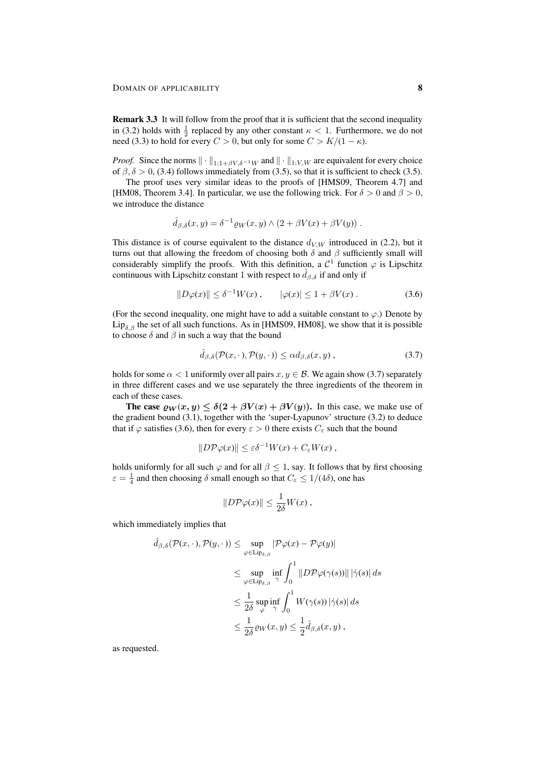Remark 3.3 It will follow from the proof that it is sufficient that the second inequality in (3.2) holds with  $\frac{1}{2}$  replaced by any other constant  $\kappa < 1$ . Furthermore, we do not need (3.3) to hold for every  $C > 0$ , but only for some  $C > K/(1 - \kappa)$ .

*Proof.* Since the norms  $\|\cdot\|_{1;1+\beta V,\delta^{-1}W}$  and  $\|\cdot\|_{1;V,W}$  are equivalent for every choice of  $\beta$ ,  $\delta$  > 0, (3.4) follows immediately from (3.5), so that it is sufficient to check (3.5).

The proof uses very similar ideas to the proofs of [HMS09, Theorem 4.7] and [HM08, Theorem 3.4]. In particular, we use the following trick. For  $\delta > 0$  and  $\beta > 0$ , we introduce the distance

$$
\hat{d}_{\beta,\delta}(x,y) = \delta^{-1} \varrho_W(x,y) \wedge (2 + \beta V(x) + \beta V(y)).
$$

This distance is of course equivalent to the distance  $d_{V,W}$  introduced in (2.2), but it turns out that allowing the freedom of choosing both  $\delta$  and  $\beta$  sufficiently small will considerably simplify the proofs. With this definition, a  $\mathcal{C}^1$  function  $\varphi$  is Lipschitz continuous with Lipschitz constant 1 with respect to  $\hat{d}_{\beta,\delta}$  if and only if

$$
||D\varphi(x)|| \le \delta^{-1}W(x), \qquad |\varphi(x)| \le 1 + \beta V(x). \tag{3.6}
$$

(For the second inequality, one might have to add a suitable constant to  $\varphi$ .) Denote by Lip<sub>δ,β</sub> the set of all such functions. As in [HMS09, HM08], we show that it is possible to choose  $\delta$  and  $\beta$  in such a way that the bound

$$
\hat{d}_{\beta,\delta}(\mathcal{P}(x,\cdot),\mathcal{P}(y,\cdot)) \le \alpha d_{\beta,\delta}(x,y) ,\qquad (3.7)
$$

holds for some  $\alpha < 1$  uniformly over all pairs  $x, y \in \mathcal{B}$ . We again show (3.7) separately in three different cases and we use separately the three ingredients of the theorem in each of these cases.

The case  $\varrho_W(x, y) \leq \delta(2 + \beta V(x) + \beta V(y))$ . In this case, we make use of the gradient bound (3.1), together with the 'super-Lyapunov' structure (3.2) to deduce that if  $\varphi$  satisfies (3.6), then for every  $\varepsilon > 0$  there exists  $C_{\varepsilon}$  such that the bound

$$
||D\mathcal{P}\varphi(x)|| \leq \varepsilon \delta^{-1}W(x) + C_{\varepsilon}W(x) ,
$$

holds uniformly for all such  $\varphi$  and for all  $\beta \leq 1$ , say. It follows that by first choosing  $\varepsilon = \frac{1}{4}$  and then choosing  $\delta$  small enough so that  $C_{\varepsilon} \le 1/(4\delta)$ , one has

$$
||D\mathcal{P}\varphi(x)|| \leq \frac{1}{2\delta}W(x) ,
$$

which immediately implies that

$$
\hat{d}_{\beta,\delta}(\mathcal{P}(x,\cdot),\mathcal{P}(y,\cdot)) \leq \sup_{\varphi \in \text{Lip}_{\delta,\beta}} |\mathcal{P}\varphi(x) - \mathcal{P}\varphi(y)|
$$
\n
$$
\leq \sup_{\varphi \in \text{Lip}_{\delta,\beta}} \inf_{\gamma} \int_0^1 ||D\mathcal{P}\varphi(\gamma(s))|| |\dot{\gamma}(s)| ds
$$
\n
$$
\leq \frac{1}{2\delta} \sup_{\varphi} \inf_{\gamma} \int_0^1 W(\gamma(s)) |\dot{\gamma}(s)| ds
$$
\n
$$
\leq \frac{1}{2\delta} \varrho_W(x,y) \leq \frac{1}{2} \hat{d}_{\beta,\delta}(x,y) ,
$$

as requested.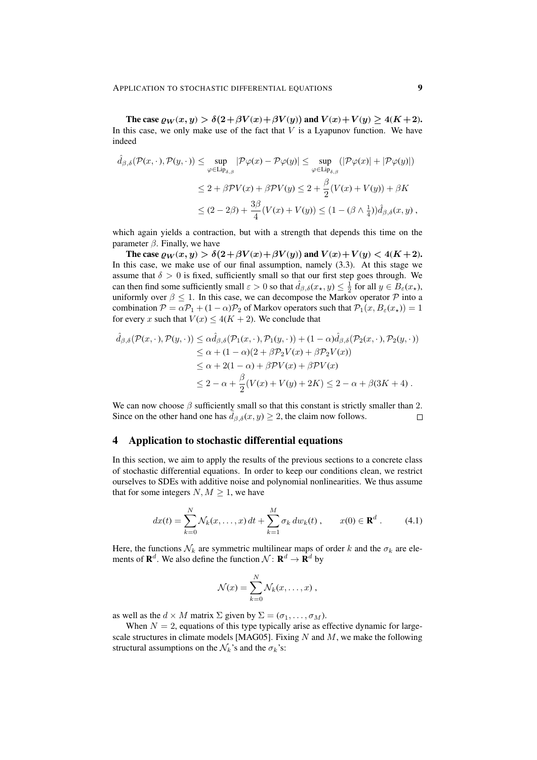The case  $\varrho_W(x, y) > \delta(2+\beta V(x)+\beta V(y))$  and  $V(x)+V(y) \geq 4(K+2)$ . In this case, we only make use of the fact that  $V$  is a Lyapunov function. We have indeed

$$
\hat{d}_{\beta,\delta}(\mathcal{P}(x,\cdot),\mathcal{P}(y,\cdot)) \leq \sup_{\varphi \in \text{Lip}_{\delta,\beta}} |\mathcal{P}\varphi(x) - \mathcal{P}\varphi(y)| \leq \sup_{\varphi \in \text{Lip}_{\delta,\beta}} (|\mathcal{P}\varphi(x)| + |\mathcal{P}\varphi(y)|)
$$
  

$$
\leq 2 + \beta \mathcal{P}V(x) + \beta \mathcal{P}V(y) \leq 2 + \frac{\beta}{2}(V(x) + V(y)) + \beta K
$$
  

$$
\leq (2 - 2\beta) + \frac{3\beta}{4}(V(x) + V(y)) \leq (1 - (\beta \wedge \frac{1}{4}))\hat{d}_{\beta,\delta}(x,y),
$$

which again yields a contraction, but with a strength that depends this time on the parameter  $\beta$ . Finally, we have

The case  $\varrho_W(x, y) > \delta(2+\beta V(x)+\beta V(y))$  and  $V(x)+V(y) < 4(K+2)$ . In this case, we make use of our final assumption, namely (3.3). At this stage we assume that  $\delta > 0$  is fixed, sufficiently small so that our first step goes through. We can then find some sufficiently small  $\varepsilon > 0$  so that  $\hat{d}_{\beta,\delta}(x_*,y) \leq \frac{1}{2}$  for all  $y \in B_{\varepsilon}(x_*)$ , uniformly over  $\beta \leq 1$ . In this case, we can decompose the Markov operator  $\mathcal P$  into a combination  $P = \alpha P_1 + (1 - \alpha)P_2$  of Markov operators such that  $P_1(x, B_\varepsilon(x_*) ) = 1$ for every x such that  $V(x) \leq 4(K + 2)$ . We conclude that

$$
\hat{d}_{\beta,\delta}(\mathcal{P}(x,\cdot),\mathcal{P}(y,\cdot)) \leq \alpha \hat{d}_{\beta,\delta}(\mathcal{P}_1(x,\cdot),\mathcal{P}_1(y,\cdot)) + (1-\alpha)\hat{d}_{\beta,\delta}(\mathcal{P}_2(x,\cdot),\mathcal{P}_2(y,\cdot))
$$
  
\n
$$
\leq \alpha + (1-\alpha)(2+\beta\mathcal{P}_2V(x)+\beta\mathcal{P}_2V(x))
$$
  
\n
$$
\leq \alpha + 2(1-\alpha) + \beta\mathcal{P}V(x) + \beta\mathcal{P}V(x)
$$
  
\n
$$
\leq 2 - \alpha + \frac{\beta}{2}(V(x) + V(y) + 2K) \leq 2 - \alpha + \beta(3K + 4).
$$

We can now choose  $\beta$  sufficiently small so that this constant is strictly smaller than 2. Since on the other hand one has  $d_{\beta,\delta}(x, y) \geq 2$ , the claim now follows.  $\Box$ 

## 4 Application to stochastic differential equations

In this section, we aim to apply the results of the previous sections to a concrete class of stochastic differential equations. In order to keep our conditions clean, we restrict ourselves to SDEs with additive noise and polynomial nonlinearities. We thus assume that for some integers  $N, M \geq 1$ , we have

$$
dx(t) = \sum_{k=0}^{N} \mathcal{N}_k(x, \dots, x) dt + \sum_{k=1}^{M} \sigma_k dw_k(t) , \qquad x(0) \in \mathbf{R}^d .
$$
 (4.1)

Here, the functions  $\mathcal{N}_k$  are symmetric multilinear maps of order k and the  $\sigma_k$  are elements of  $\mathbf{R}^d$ . We also define the function  $\mathcal{N} \colon \mathbf{R}^d \to \mathbf{R}^d$  by

$$
\mathcal{N}(x) = \sum_{k=0}^N \mathcal{N}_k(x,\ldots,x) \;,
$$

as well as the  $d \times M$  matrix  $\Sigma$  given by  $\Sigma = (\sigma_1, \dots, \sigma_M)$ .

When  $N = 2$ , equations of this type typically arise as effective dynamic for largescale structures in climate models [MAG05]. Fixing  $N$  and  $M$ , we make the following structural assumptions on the  $\mathcal{N}_k$ 's and the  $\sigma_k$ 's: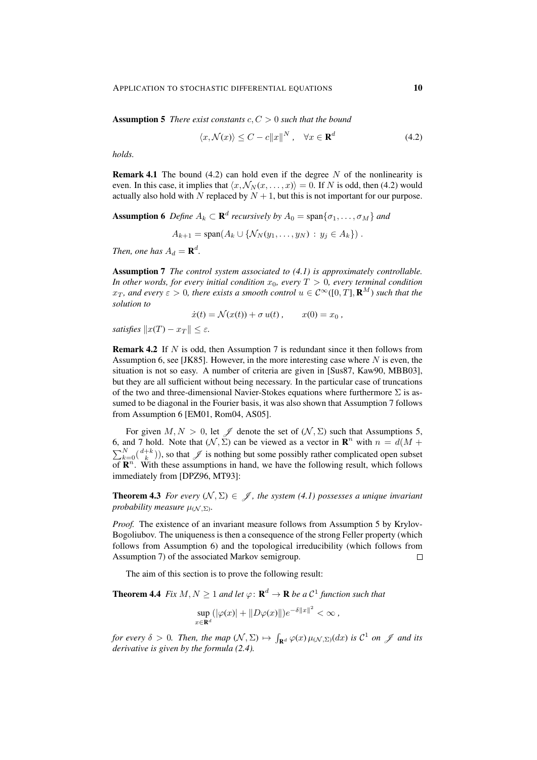Assumption 5 *There exist constants* c, C > 0 *such that the bound*

$$
\langle x, \mathcal{N}(x) \rangle \le C - c \|x\|^N, \quad \forall x \in \mathbf{R}^d \tag{4.2}
$$

*holds.*

**Remark 4.1** The bound (4.2) can hold even if the degree N of the nonlinearity is even. In this case, it implies that  $\langle x, \mathcal{N}_N(x, \dots, x) \rangle = 0$ . If N is odd, then (4.2) would actually also hold with N replaced by  $N + 1$ , but this is not important for our purpose.

**Assumption 6** Define  $A_k \subset \mathbf{R}^d$  recursively by  $A_0 = \text{span}\{\sigma_1, \dots, \sigma_M\}$  and

$$
A_{k+1} = \text{span}(A_k \cup \{ \mathcal{N}_N(y_1, \ldots, y_N) : y_j \in A_k \})
$$

*Then, one has*  $A_d = \mathbf{R}^d$ .

Assumption 7 *The control system associated to (4.1) is approximately controllable. In other words, for every initial condition*  $x_0$ *, every*  $T > 0$ *, every terminal condition*  $x_T$ , and every  $\varepsilon > 0$ , there exists a smooth control  $u \in \mathcal{C}^{\infty}([0,T], \mathbf{R}^{M})$  such that the *solution to*

$$
\dot{x}(t) = \mathcal{N}(x(t)) + \sigma u(t), \qquad x(0) = x_0,
$$

*satisfies*  $||x(T) - x_T|| \leq \varepsilon$ .

**Remark 4.2** If  $N$  is odd, then Assumption 7 is redundant since it then follows from Assumption 6, see [JK85]. However, in the more interesting case where  $N$  is even, the situation is not so easy. A number of criteria are given in [Sus87, Kaw90, MBB03], but they are all sufficient without being necessary. In the particular case of truncations of the two and three-dimensional Navier-Stokes equations where furthermore  $\Sigma$  is assumed to be diagonal in the Fourier basis, it was also shown that Assumption 7 follows from Assumption 6 [EM01, Rom04, AS05].

For given  $M, N > 0$ , let  $\mathscr J$  denote the set of  $(\mathcal N, \Sigma)$  such that Assumptions 5, 6, and 7 hold. Note that  $(\mathcal{N}, \Sigma)$  can be viewed as a vector in  $\mathbb{R}^n$  with  $n = d(M +$  $\sum_{k=0}^{N} \binom{d+k}{k}$ , so that  $\mathcal J$  is nothing but some possibly rather complicated open subset of  $\mathbf{B}^n$ . of  $\mathbb{R}^n$ . With these assumptions in hand, we have the following result, which follows immediately from [DPZ96, MT93]:

**Theorem 4.3** *For every*  $(N, \Sigma) \in \mathcal{J}$ , the system (4.1) possesses a unique invariant *probability measure*  $\mu_{(\mathcal{N}, \Sigma)}$ *.* 

*Proof.* The existence of an invariant measure follows from Assumption 5 by Krylov-Bogoliubov. The uniqueness is then a consequence of the strong Feller property (which follows from Assumption 6) and the topological irreducibility (which follows from Assumption 7) of the associated Markov semigroup.  $\Box$ 

The aim of this section is to prove the following result:

**Theorem 4.4** Fix  $M, N \geq 1$  and let  $\varphi : \mathbf{R}^d \to \mathbf{R}$  be a  $\mathcal{C}^1$  function such that

$$
\sup_{x\in\mathbf{R}^d} (|\varphi(x)| + \|D\varphi(x)\|)e^{-\delta\|x\|^2} < \infty,
$$

*for every*  $\delta > 0$ . Then, the map  $(\mathcal{N}, \Sigma) \mapsto \int_{\mathbf{R}^d} \varphi(x) \mu_{(\mathcal{N}, \Sigma)}(dx)$  *is*  $\mathcal{C}^1$  *on*  $\mathcal{J}$  *and its derivative is given by the formula (2.4).*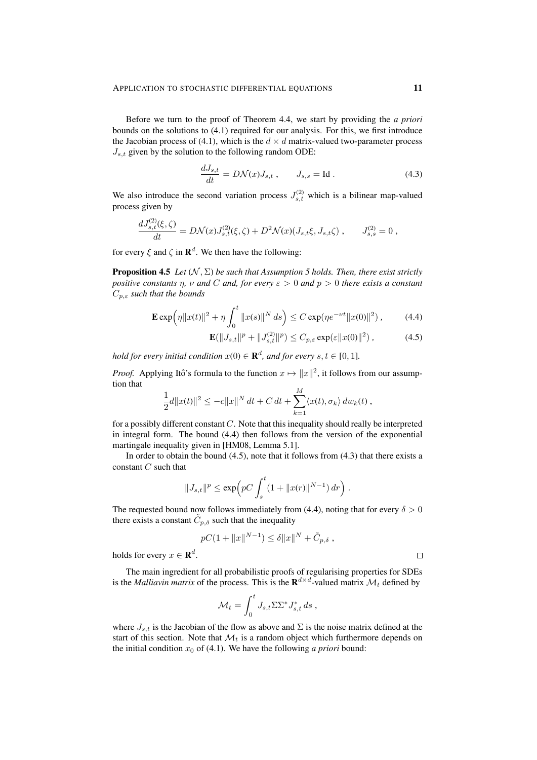Before we turn to the proof of Theorem 4.4, we start by providing the *a priori* bounds on the solutions to (4.1) required for our analysis. For this, we first introduce the Jacobian process of (4.1), which is the  $d \times d$  matrix-valued two-parameter process  $J_{s,t}$  given by the solution to the following random ODE:

$$
\frac{dJ_{s,t}}{dt} = D\mathcal{N}(x)J_{s,t} , \qquad J_{s,s} = \text{Id} . \tag{4.3}
$$

We also introduce the second variation process  $J_{s,t}^{(2)}$  which is a bilinear map-valued process given by

$$
\frac{dJ_{s,t}^{(2)}(\xi,\zeta)}{dt} = D\mathcal{N}(x)J_{s,t}^{(2)}(\xi,\zeta) + D^2\mathcal{N}(x)(J_{s,t}\xi,J_{s,t}\zeta) , \qquad J_{s,s}^{(2)} = 0 ,
$$

for every  $\xi$  and  $\zeta$  in  $\mathbf{R}^d$ . We then have the following:

**Proposition 4.5** *Let*  $(N, \Sigma)$  *be such that Assumption 5 holds. Then, there exist strictly positive constants* η*,* ν *and* C *and, for every* ε > 0 *and* p > 0 *there exists a constant* Cp,ε *such that the bounds*

$$
\mathbf{E} \exp\left(\eta \|x(t)\|^2 + \eta \int_0^t \|x(s)\|^N \, ds\right) \le C \exp(\eta e^{-\nu t} \|x(0)\|^2) \,,\tag{4.4}
$$

$$
\mathbf{E}(\|J_{s,t}\|^p + \|J_{s,t}^{(2)}\|^p) \le C_{p,\varepsilon} \exp(\varepsilon \|x(0)\|^2) ,\qquad (4.5)
$$

*hold for every initial condition*  $x(0) \in \mathbf{R}^d$ , and for every  $s, t \in [0, 1]$ .

*Proof.* Applying Itô's formula to the function  $x \mapsto ||x||^2$ , it follows from our assumption that

$$
\frac{1}{2}d||x(t)||^{2} \leq -c||x||^{N} dt + C dt + \sum_{k=1}^{M} \langle x(t), \sigma_{k} \rangle dw_{k}(t),
$$

for a possibly different constant  $C$ . Note that this inequality should really be interpreted in integral form. The bound (4.4) then follows from the version of the exponential martingale inequality given in [HM08, Lemma 5.1].

In order to obtain the bound  $(4.5)$ , note that it follows from  $(4.3)$  that there exists a constant C such that

$$
||J_{s,t}||^p \le \exp\Big(pC\int_s^t (1+||x(r)||^{N-1})\,dr\Big).
$$

The requested bound now follows immediately from (4.4), noting that for every  $\delta > 0$ there exists a constant  $\tilde{C}_{p,\delta}$  such that the inequality

$$
pC(1 + ||x||^{N-1}) \le \delta ||x||^N + \tilde{C}_{p,\delta}
$$
,

holds for every  $x \in \mathbf{R}^d$ .

The main ingredient for all probabilistic proofs of regularising properties for SDEs is the *Malliavin matrix* of the process. This is the  $\mathbf{R}^{d \times d}$ -valued matrix  $\mathcal{M}_t$  defined by

$$
\mathcal{M}_t = \int_0^t J_{s,t} \Sigma \Sigma^* J_{s,t}^* ds,
$$

where  $J_{s,t}$  is the Jacobian of the flow as above and  $\Sigma$  is the noise matrix defined at the start of this section. Note that  $\mathcal{M}_t$  is a random object which furthermore depends on the initial condition  $x_0$  of (4.1). We have the following *a priori* bound:

 $\Box$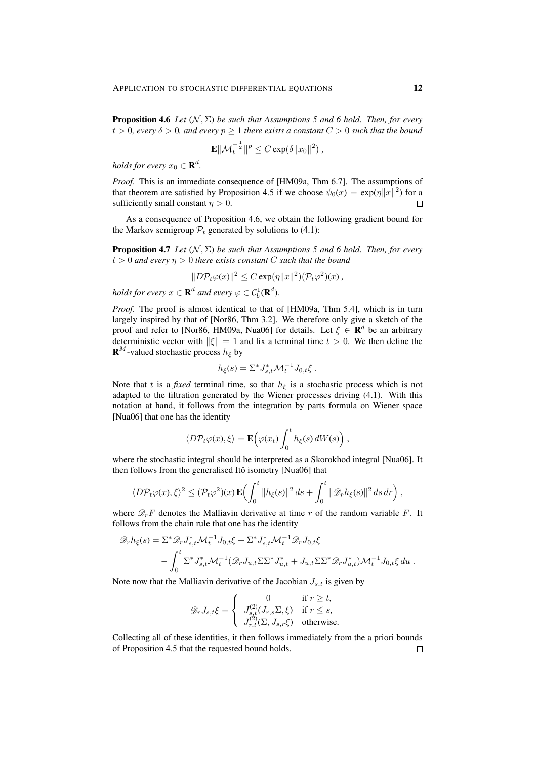**Proposition 4.6** *Let*  $(N, \Sigma)$  *be such that Assumptions 5 and 6 hold. Then, for every*  $t > 0$ , every  $\delta > 0$ , and every  $p \ge 1$  there exists a constant  $C > 0$  such that the bound

$$
\mathbf{E} \|\mathcal{M}_t^{-\frac{1}{2}}\|^p \leq C \exp(\delta \|x_0\|^2) ,
$$

*holds for every*  $x_0 \in \mathbf{R}^d$ .

*Proof.* This is an immediate consequence of [HM09a, Thm 6.7]. The assumptions of that theorem are satisfied by Proposition 4.5 if we choose  $\psi_0(x) = \exp(\eta ||x||^2)$  for a sufficiently small constant  $\eta > 0$ .  $\Box$ 

As a consequence of Proposition 4.6, we obtain the following gradient bound for the Markov semigroup  $P_t$  generated by solutions to (4.1):

**Proposition 4.7** *Let*  $(N, \Sigma)$  *be such that Assumptions 5 and 6 hold. Then, for every*  $t > 0$  and every  $\eta > 0$  there exists constant C such that the bound

$$
||D\mathcal{P}_t\varphi(x)||^2 \leq C \exp(\eta ||x||^2) (\mathcal{P}_t\varphi^2)(x) ,
$$

*holds for every*  $x \in \mathbf{R}^d$  and every  $\varphi \in C_b^1(\mathbf{R}^d)$ .

*Proof.* The proof is almost identical to that of [HM09a, Thm 5.4], which is in turn largely inspired by that of [Nor86, Thm 3.2]. We therefore only give a sketch of the proof and refer to [Nor86, HM09a, Nua06] for details. Let  $\xi \in \mathbb{R}^d$  be an arbitrary deterministic vector with  $\|\xi\| = 1$  and fix a terminal time  $t > 0$ . We then define the **R**<sup>M</sup>-valued stochastic process  $h_{\xi}$  by

$$
h_{\xi}(s) = \Sigma^* J_{s,t}^* \mathcal{M}_t^{-1} J_{0,t} \xi.
$$

Note that t is a *fixed* terminal time, so that  $h_{\xi}$  is a stochastic process which is not adapted to the filtration generated by the Wiener processes driving (4.1). With this notation at hand, it follows from the integration by parts formula on Wiener space [Nua06] that one has the identity

$$
\langle D\mathcal{P}_t\varphi(x),\xi\rangle = \mathbf{E}\Big(\varphi(x_t)\int_0^t h_{\xi}(s)\,dW(s)\Big)\,,
$$

where the stochastic integral should be interpreted as a Skorokhod integral [Nua06]. It then follows from the generalised Itô isometry [Nua06] that

$$
\langle D\mathcal{P}_t\varphi(x),\xi\rangle^2 \leq (\mathcal{P}_t\varphi^2)(x)\mathbf{E}\Big(\int_0^t \|h_{\xi}(s)\|^2 ds + \int_0^t \|\mathscr{D}_r h_{\xi}(s)\|^2 ds dr\Big) ,
$$

where  $\mathcal{D}_r F$  denotes the Malliavin derivative at time r of the random variable F. It follows from the chain rule that one has the identity

$$
\mathcal{D}_{r}h_{\xi}(s) = \Sigma^{*} \mathcal{D}_{r} J_{s,t}^{*} \mathcal{M}_{t}^{-1} J_{0,t} \xi + \Sigma^{*} J_{s,t}^{*} \mathcal{M}_{t}^{-1} \mathcal{D}_{r} J_{0,t} \xi - \int_{0}^{t} \Sigma^{*} J_{s,t}^{*} \mathcal{M}_{t}^{-1} (\mathcal{D}_{r} J_{u,t} \Sigma \Sigma^{*} J_{u,t}^{*} + J_{u,t} \Sigma \Sigma^{*} \mathcal{D}_{r} J_{u,t}^{*}) \mathcal{M}_{t}^{-1} J_{0,t} \xi du.
$$

Note now that the Malliavin derivative of the Jacobian  $J_{s,t}$  is given by

$$
\mathscr{D}_r J_{s,t} \xi = \begin{cases} 0 & \text{if } r \geq t, \\ J_{s,t}^{(2)}(J_{r,s} \Sigma, \xi) & \text{if } r \leq s, \\ J_{r,t}^{(2)}(\Sigma, J_{s,r} \xi) & \text{otherwise.} \end{cases}
$$

Collecting all of these identities, it then follows immediately from the a priori bounds of Proposition 4.5 that the requested bound holds. $\Box$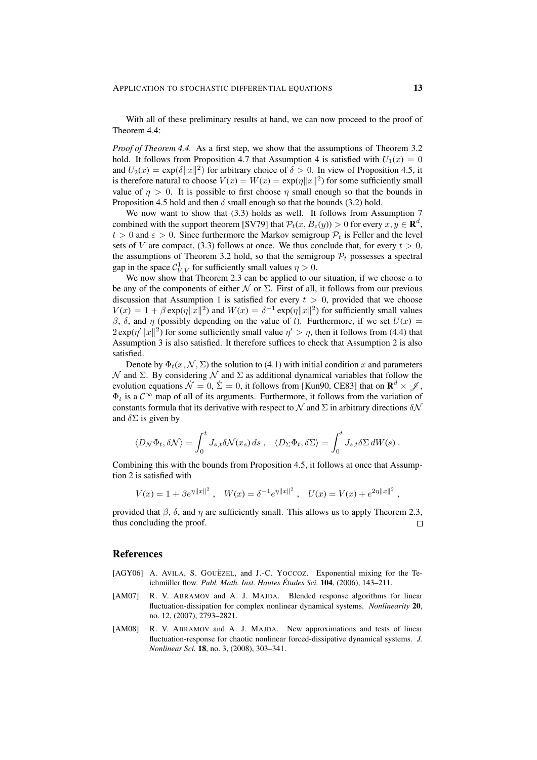With all of these preliminary results at hand, we can now proceed to the proof of Theorem 4.4:

*Proof of Theorem 4.4.* As a first step, we show that the assumptions of Theorem 3.2 hold. It follows from Proposition 4.7 that Assumption 4 is satisfied with  $U_1(x) = 0$ and  $U_2(x) = \exp(\delta ||x||^2)$  for arbitrary choice of  $\delta > 0$ . In view of Proposition 4.5, it is therefore natural to choose  $V(x) = W(x) = \exp(\eta ||x||^2)$  for some sufficiently small value of  $\eta > 0$ . It is possible to first choose  $\eta$  small enough so that the bounds in Proposition 4.5 hold and then  $\delta$  small enough so that the bounds (3.2) hold.

We now want to show that (3.3) holds as well. It follows from Assumption 7 combined with the support theorem [SV79] that  $\mathcal{P}_t(x, B_\varepsilon(y)) > 0$  for every  $x, y \in \mathbf{R}^d$ ,  $t > 0$  and  $\varepsilon > 0$ . Since furthermore the Markov semigroup  $\mathcal{P}_t$  is Feller and the level sets of V are compact, (3.3) follows at once. We thus conclude that, for every  $t > 0$ , the assumptions of Theorem 3.2 hold, so that the semigroup  $P_t$  possesses a spectral gap in the space  $C_{V,V}^1$  for sufficiently small values  $\eta > 0$ .

We now show that Theorem 2.3 can be applied to our situation, if we choose  $a$  to be any of the components of either  $\mathcal N$  or  $\Sigma$ . First of all, it follows from our previous discussion that Assumption 1 is satisfied for every  $t > 0$ , provided that we choose  $V(x) = 1 + \beta \exp(\eta ||x||^2)$  and  $W(x) = \delta^{-1} \exp(\eta ||x||^2)$  for sufficiently small values β, δ, and η (possibly depending on the value of t). Furthermore, if we set  $U(x) =$  $2 \exp(\eta' ||x||^2)$  for some sufficiently small value  $\eta' > \eta$ , then it follows from (4.4) that Assumption 3 is also satisfied. It therefore suffices to check that Assumption 2 is also satisfied.

Denote by  $\Phi_t(x, \mathcal{N}, \Sigma)$  the solution to (4.1) with initial condition x and parameters  $\mathcal N$  and Σ. By considering  $\mathcal N$  and Σ as additional dynamical variables that follow the evolution equations  $\dot{\mathcal{N}} = 0$ ,  $\dot{\Sigma} = 0$ , it follows from [Kun90, CE83] that on  $\mathbf{R}^d \times \mathcal{J}$ ,  $\Phi_t$  is a  $C^{\infty}$  map of all of its arguments. Furthermore, it follows from the variation of constants formula that its derivative with respect to  $\mathcal N$  and  $\Sigma$  in arbitrary directions  $\delta \mathcal N$ and  $\delta \Sigma$  is given by

$$
\langle D_{\mathcal{N}} \Phi_t, \delta \mathcal{N} \rangle = \int_0^t J_{s,t} \delta \mathcal{N}(x_s) \, ds \;, \quad \langle D_{\Sigma} \Phi_t, \delta \Sigma \rangle = \int_0^t J_{s,t} \delta \Sigma \, dW(s) \; .
$$

Combining this with the bounds from Proposition 4.5, it follows at once that Assumption 2 is satisfied with

$$
V(x) = 1 + \beta e^{\eta ||x||^2}, \quad W(x) = \delta^{-1} e^{\eta ||x||^2}, \quad U(x) = V(x) + e^{2\eta ||x||^2}
$$

provided that  $\beta$ ,  $\delta$ , and  $\eta$  are sufficiently small. This allows us to apply Theorem 2.3, thus concluding the proof.  $\Box$ 

### References

- [AGY06] A. AVILA, S. GOUËZEL, and J.-C. YOCCOZ. Exponential mixing for the Te*ichmüller flow. Publ. Math. Inst. Hautes Études Sci.* **104**, (2006), 143–211.
- [AM07] R. V. ABRAMOV and A. J. MAJDA. Blended response algorithms for linear fluctuation-dissipation for complex nonlinear dynamical systems. *Nonlinearity* 20, no. 12, (2007), 2793–2821.
- [AM08] R. V. ABRAMOV and A. J. MAJDA. New approximations and tests of linear fluctuation-response for chaotic nonlinear forced-dissipative dynamical systems. *J. Nonlinear Sci.* 18, no. 3, (2008), 303–341.

,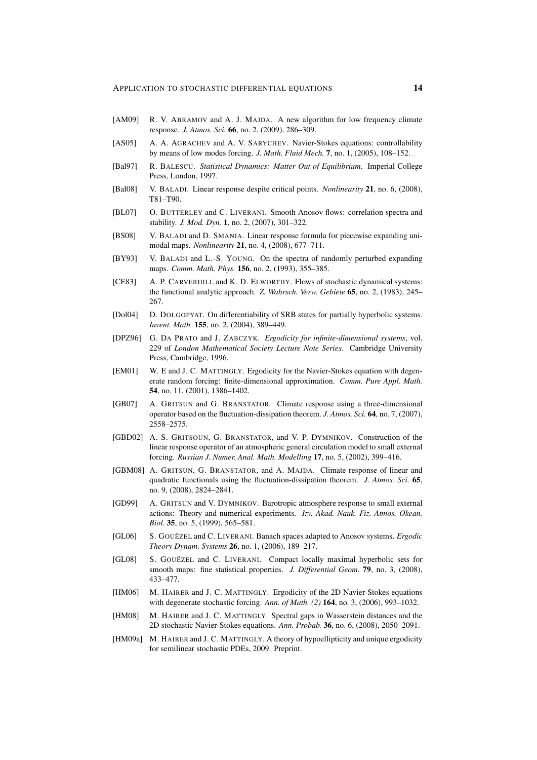- [AM09] R. V. ABRAMOV and A. J. MAJDA. A new algorithm for low frequency climate response. *J. Atmos. Sci.* 66, no. 2, (2009), 286–309.
- [AS05] A. A. AGRACHEV and A. V. SARYCHEV. Navier-Stokes equations: controllability by means of low modes forcing. *J. Math. Fluid Mech.* 7, no. 1, (2005), 108–152.
- [Bal97] R. BALESCU. *Statistical Dynamics: Matter Out of Equilibrium*. Imperial College Press, London, 1997.
- [Bal08] V. BALADI. Linear response despite critical points. *Nonlinearity* 21, no. 6, (2008), T81–T90.
- [BL07] O. BUTTERLEY and C. LIVERANI. Smooth Anosov flows: correlation spectra and stability. *J. Mod. Dyn.* 1, no. 2, (2007), 301–322.
- [BS08] V. BALADI and D. SMANIA. Linear response formula for piecewise expanding unimodal maps. *Nonlinearity* 21, no. 4, (2008), 677–711.
- [BY93] V. BALADI and L.-S. YOUNG. On the spectra of randomly perturbed expanding maps. *Comm. Math. Phys.* 156, no. 2, (1993), 355–385.
- [CE83] A. P. CARVERHILL and K. D. ELWORTHY. Flows of stochastic dynamical systems: the functional analytic approach. *Z. Wahrsch. Verw. Gebiete* 65, no. 2, (1983), 245– 267.
- [Dol04] D. DOLGOPYAT. On differentiability of SRB states for partially hyperbolic systems. *Invent. Math.* 155, no. 2, (2004), 389–449.
- [DPZ96] G. DA PRATO and J. ZABCZYK. *Ergodicity for infinite-dimensional systems*, vol. 229 of *London Mathematical Society Lecture Note Series*. Cambridge University Press, Cambridge, 1996.
- [EM01] W. E and J. C. MATTINGLY. Ergodicity for the Navier-Stokes equation with degenerate random forcing: finite-dimensional approximation. *Comm. Pure Appl. Math.* 54, no. 11, (2001), 1386–1402.
- [GB07] A. GRITSUN and G. BRANSTATOR. Climate response using a three-dimensional operator based on the fluctuation-dissipation theorem. *J. Atmos. Sci.* 64, no. 7, (2007), 2558–2575.
- [GBD02] A. S. GRITSOUN, G. BRANSTATOR, and V. P. DYMNIKOV. Construction of the linear response operator of an atmospheric general circulation model to small external forcing. *Russian J. Numer. Anal. Math. Modelling* 17, no. 5, (2002), 399–416.
- [GBM08] A. GRITSUN, G. BRANSTATOR, and A. MAJDA. Climate response of linear and quadratic functionals using the fluctuation-dissipation theorem. *J. Atmos. Sci.* 65, no. 9, (2008), 2824–2841.
- [GD99] A. GRITSUN and V. DYMNIKOV. Barotropic atmosphere response to small external actions: Theory and numerical experiments. *Izv. Akad. Nauk. Fiz. Atmos. Okean. Biol.* 35, no. 5, (1999), 565–581.
- [GL06] S. GOUËZEL and C. LIVERANI. Banach spaces adapted to Anosov systems. *Ergodic Theory Dynam. Systems* 26, no. 1, (2006), 189–217.
- [GL08] S. GOUËZEL and C. LIVERANI. Compact locally maximal hyperbolic sets for smooth maps: fine statistical properties. *J. Differential Geom.* 79, no. 3, (2008), 433–477.
- [HM06] M. HAIRER and J. C. MATTINGLY. Ergodicity of the 2D Navier-Stokes equations with degenerate stochastic forcing. *Ann. of Math. (2)* 164, no. 3, (2006), 993–1032.
- [HM08] M. HAIRER and J. C. MATTINGLY. Spectral gaps in Wasserstein distances and the 2D stochastic Navier-Stokes equations. *Ann. Probab.* 36, no. 6, (2008), 2050–2091.
- [HM09a] M. HAIRER and J. C. MATTINGLY. A theory of hypoellipticity and unique ergodicity for semilinear stochastic PDEs, 2009. Preprint.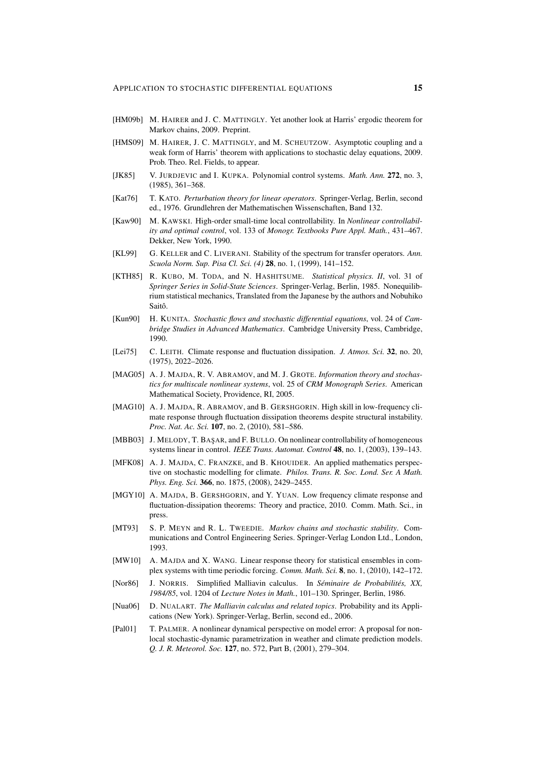- [HM09b] M. HAIRER and J. C. MATTINGLY. Yet another look at Harris' ergodic theorem for Markov chains, 2009. Preprint.
- [HMS09] M. HAIRER, J. C. MATTINGLY, and M. SCHEUTZOW. Asymptotic coupling and a weak form of Harris' theorem with applications to stochastic delay equations, 2009. Prob. Theo. Rel. Fields, to appear.
- [JK85] V. JURDJEVIC and I. KUPKA. Polynomial control systems. *Math. Ann.* 272, no. 3, (1985), 361–368.
- [Kat76] T. KATO. *Perturbation theory for linear operators*. Springer-Verlag, Berlin, second ed., 1976. Grundlehren der Mathematischen Wissenschaften, Band 132.
- [Kaw90] M. KAWSKI. High-order small-time local controllability. In *Nonlinear controllability and optimal control*, vol. 133 of *Monogr. Textbooks Pure Appl. Math.*, 431–467. Dekker, New York, 1990.
- [KL99] G. KELLER and C. LIVERANI. Stability of the spectrum for transfer operators. *Ann. Scuola Norm. Sup. Pisa Cl. Sci. (4)* 28, no. 1, (1999), 141–152.
- [KTH85] R. KUBO, M. TODA, and N. HASHITSUME. *Statistical physics. II*, vol. 31 of *Springer Series in Solid-State Sciences*. Springer-Verlag, Berlin, 1985. Nonequilibrium statistical mechanics, Translated from the Japanese by the authors and Nobuhiko Saitô.
- [Kun90] H. KUNITA. *Stochastic flows and stochastic differential equations*, vol. 24 of *Cambridge Studies in Advanced Mathematics*. Cambridge University Press, Cambridge, 1990.
- [Lei75] C. LEITH. Climate response and fluctuation dissipation. *J. Atmos. Sci.* 32, no. 20, (1975), 2022–2026.
- [MAG05] A. J. MAJDA, R. V. ABRAMOV, and M. J. GROTE. *Information theory and stochastics for multiscale nonlinear systems*, vol. 25 of *CRM Monograph Series*. American Mathematical Society, Providence, RI, 2005.
- [MAG10] A. J. MAJDA, R. ABRAMOV, and B. GERSHGORIN. High skill in low-frequency climate response through fluctuation dissipation theorems despite structural instability. *Proc. Nat. Ac. Sci.* 107, no. 2, (2010), 581–586.
- [MBB03] J. MELODY, T. BAŞAR, and F. BULLO. On nonlinear controllability of homogeneous systems linear in control. *IEEE Trans. Automat. Control* 48, no. 1, (2003), 139–143.
- [MFK08] A. J. MAJDA, C. FRANZKE, and B. KHOUIDER. An applied mathematics perspective on stochastic modelling for climate. *Philos. Trans. R. Soc. Lond. Ser. A Math. Phys. Eng. Sci.* 366, no. 1875, (2008), 2429–2455.
- [MGY10] A. MAJDA, B. GERSHGORIN, and Y. YUAN. Low frequency climate response and fluctuation-dissipation theorems: Theory and practice, 2010. Comm. Math. Sci., in press.
- [MT93] S. P. MEYN and R. L. TWEEDIE. *Markov chains and stochastic stability*. Communications and Control Engineering Series. Springer-Verlag London Ltd., London, 1993.
- [MW10] A. MAJDA and X. WANG. Linear response theory for statistical ensembles in complex systems with time periodic forcing. *Comm. Math. Sci.* 8, no. 1, (2010), 142–172.
- [Nor86] J. NORRIS. Simplified Malliavin calculus. In *Séminaire de Probabilités, XX*, *1984/85*, vol. 1204 of *Lecture Notes in Math.*, 101–130. Springer, Berlin, 1986.
- [Nua06] D. NUALART. *The Malliavin calculus and related topics*. Probability and its Applications (New York). Springer-Verlag, Berlin, second ed., 2006.
- [Pal01] T. PALMER. A nonlinear dynamical perspective on model error: A proposal for nonlocal stochastic-dynamic parametrization in weather and climate prediction models. *Q. J. R. Meteorol. Soc.* 127, no. 572, Part B, (2001), 279–304.